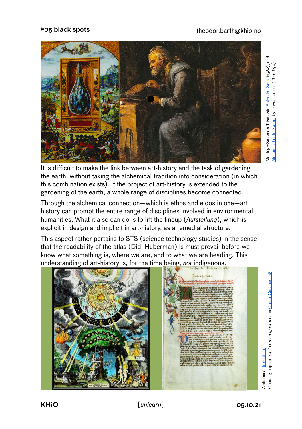## #05 black spots [theodor.barth@khio.no](mailto:theodor.barth@khio.no)



It is difficult to make the link between art-history and the task of gardening the earth, without taking the alchemical tradition into consideration (in which this combination exists). If the project of art-history is extended to the gardening of the earth, a whole range of disciplines become connected.

Through the alchemical connection—which is ethos and eidos in one—art history can prompt the entire range of disciplines involved in environmental humanities. What it also can do is to lift the lineup (*Aufstellung*), which is explicit in design and implicit in art-history, as a remedial structure.

This aspect rather pertains to STS (science technology studies) in the sense that the readability of the atlas (Didi-Huberman) is must prevail before we know what something is, where we are, and to what we are heading. This understanding of art-history is, for the time being, *not* indigenous.